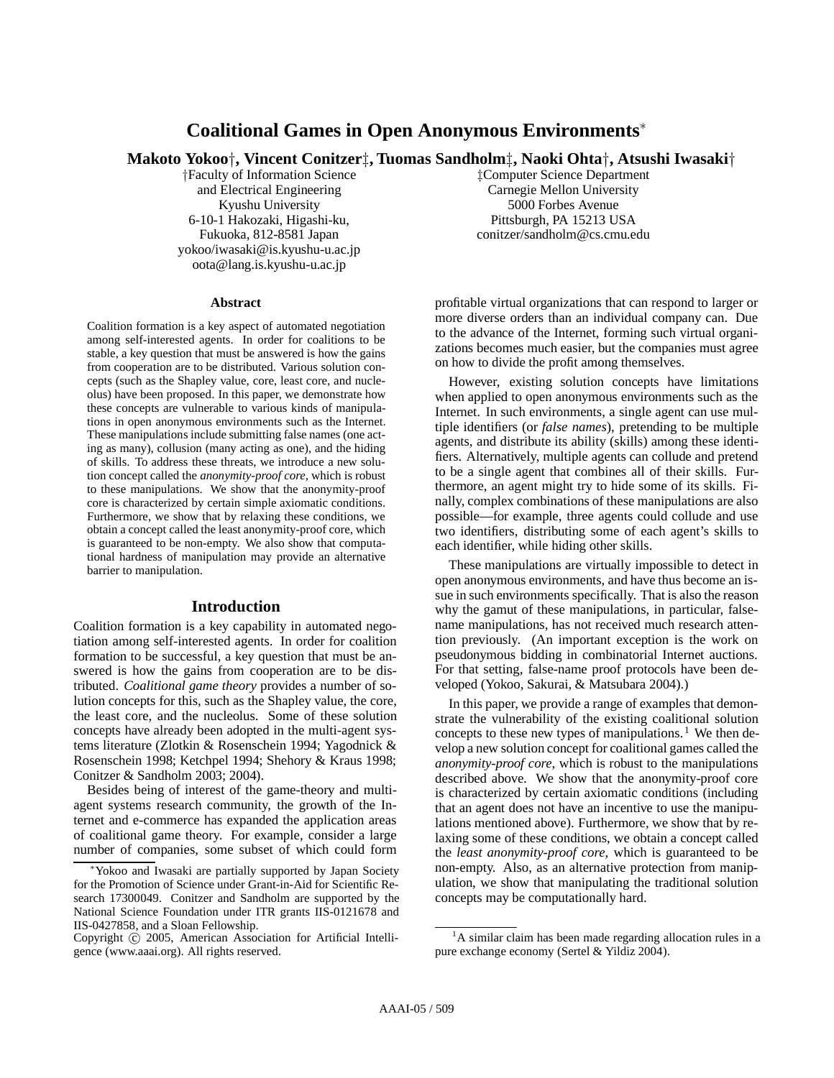# **Coalitional Games in Open Anonymous Environments**<sup>∗</sup>

**Makoto Yokoo**†**, Vincent Conitzer**‡**, Tuomas Sandholm**‡**, Naoki Ohta**†**, Atsushi Iwasaki**†

†Faculty of Information Science and Electrical Engineering Kyushu University 6-10-1 Hakozaki, Higashi-ku, Fukuoka, 812-8581 Japan yokoo/iwasaki@is.kyushu-u.ac.jp oota@lang.is.kyushu-u.ac.jp

#### **Abstract**

Coalition formation is a key aspect of automated negotiation among self-interested agents. In order for coalitions to be stable, a key question that must be answered is how the gains from cooperation are to be distributed. Various solution concepts (such as the Shapley value, core, least core, and nucleolus) have been proposed. In this paper, we demonstrate how these concepts are vulnerable to various kinds of manipulations in open anonymous environments such as the Internet. These manipulations include submitting false names (one acting as many), collusion (many acting as one), and the hiding of skills. To address these threats, we introduce a new solution concept called the *anonymity-proof core*, which is robust to these manipulations. We show that the anonymity-proof core is characterized by certain simple axiomatic conditions. Furthermore, we show that by relaxing these conditions, we obtain a concept called the least anonymity-proof core, which is guaranteed to be non-empty. We also show that computational hardness of manipulation may provide an alternative barrier to manipulation.

### **Introduction**

Coalition formation is a key capability in automated negotiation among self-interested agents. In order for coalition formation to be successful, a key question that must be answered is how the gains from cooperation are to be distributed. *Coalitional game theory* provides a number of solution concepts for this, such as the Shapley value, the core, the least core, and the nucleolus. Some of these solution concepts have already been adopted in the multi-agent systems literature (Zlotkin & Rosenschein 1994; Yagodnick & Rosenschein 1998; Ketchpel 1994; Shehory & Kraus 1998; Conitzer & Sandholm 2003; 2004).

Besides being of interest of the game-theory and multiagent systems research community, the growth of the Internet and e-commerce has expanded the application areas of coalitional game theory. For example, consider a large number of companies, some subset of which could form ‡Computer Science Department Carnegie Mellon University 5000 Forbes Avenue Pittsburgh, PA 15213 USA conitzer/sandholm@cs.cmu.edu

profitable virtual organizations that can respond to larger or more diverse orders than an individual company can. Due to the advance of the Internet, forming such virtual organizations becomes much easier, but the companies must agree on how to divide the profit among themselves.

However, existing solution concepts have limitations when applied to open anonymous environments such as the Internet. In such environments, a single agent can use multiple identifiers (or *false names*), pretending to be multiple agents, and distribute its ability (skills) among these identifiers. Alternatively, multiple agents can collude and pretend to be a single agent that combines all of their skills. Furthermore, an agent might try to hide some of its skills. Finally, complex combinations of these manipulations are also possible—for example, three agents could collude and use two identifiers, distributing some of each agent's skills to each identifier, while hiding other skills.

These manipulations are virtually impossible to detect in open anonymous environments, and have thus become an issue in such environments specifically. That is also the reason why the gamut of these manipulations, in particular, falsename manipulations, has not received much research attention previously. (An important exception is the work on pseudonymous bidding in combinatorial Internet auctions. For that setting, false-name proof protocols have been developed (Yokoo, Sakurai, & Matsubara 2004).)

In this paper, we provide a range of examples that demonstrate the vulnerability of the existing coalitional solution concepts to these new types of manipulations.<sup>1</sup> We then develop a new solution concept for coalitional games called the *anonymity-proof core*, which is robust to the manipulations described above. We show that the anonymity-proof core is characterized by certain axiomatic conditions (including that an agent does not have an incentive to use the manipulations mentioned above). Furthermore, we show that by relaxing some of these conditions, we obtain a concept called the *least anonymity-proof core*, which is guaranteed to be non-empty. Also, as an alternative protection from manipulation, we show that manipulating the traditional solution concepts may be computationally hard.

<sup>∗</sup>Yokoo and Iwasaki are partially supported by Japan Society for the Promotion of Science under Grant-in-Aid for Scientific Research 17300049. Conitzer and Sandholm are supported by the National Science Foundation under ITR grants IIS-0121678 and IIS-0427858, and a Sloan Fellowship.

Copyright @ 2005, American Association for Artificial Intelligence (www.aaai.org). All rights reserved.

<sup>&</sup>lt;sup>1</sup>A similar claim has been made regarding allocation rules in a pure exchange economy (Sertel & Yildiz 2004).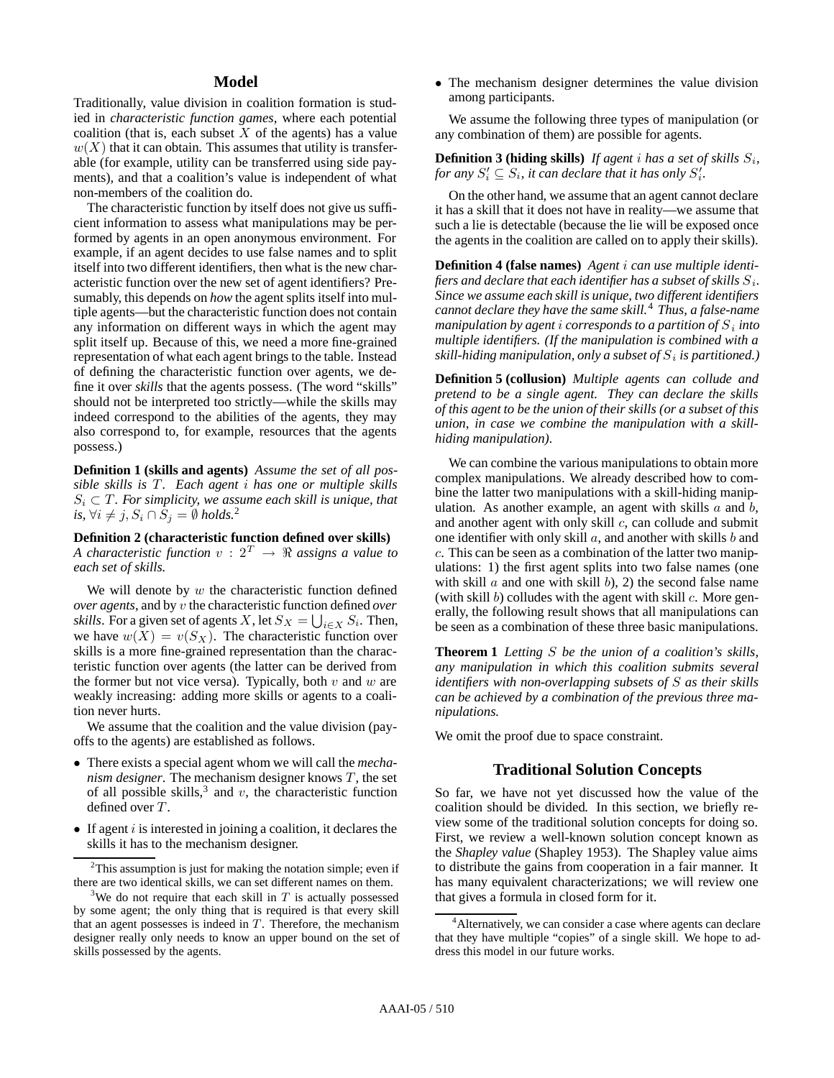## **Model**

Traditionally, value division in coalition formation is studied in *characteristic function games*, where each potential coalition (that is, each subset  $X$  of the agents) has a value  $w(X)$  that it can obtain. This assumes that utility is transferable (for example, utility can be transferred using side payments), and that a coalition's value is independent of what non-members of the coalition do.

The characteristic function by itself does not give us sufficient information to assess what manipulations may be performed by agents in an open anonymous environment. For example, if an agent decides to use false names and to split itself into two different identifiers, then what is the new characteristic function over the new set of agent identifiers? Presumably, this depends on *how* the agent splits itself into multiple agents—but the characteristic function does not contain any information on different ways in which the agent may split itself up. Because of this, we need a more fine-grained representation of what each agent brings to the table. Instead of defining the characteristic function over agents, we define it over *skills* that the agents possess. (The word "skills" should not be interpreted too strictly—while the skills may indeed correspond to the abilities of the agents, they may also correspond to, for example, resources that the agents possess.)

**Definition 1 (skills and agents)** *Assume the set of all possible skills is* T. Each agent *i* has one or multiple skills  $S_i \subset T$ *. For simplicity, we assume each skill is unique, that is,*  $∀i ≠ j, S_i ∩ S_j = ∅ holds.<sup>2</sup>$ 

### **Definition 2 (characteristic function defined over skills)** *A characteristic function*  $v : 2^T \rightarrow \mathbb{R}$  assigns a value to *each set of skills.*

We will denote by  $w$  the characteristic function defined *over agents*, and by v the characteristic function defined *over skills*. For a given set of agents X, let  $S_X = \bigcup_{i \in X} S_i$ . Then, we have  $w(X) = v(S_X)$ . The characteristic function over skills is a more fine-grained representation than the characteristic function over agents (the latter can be derived from the former but not vice versa). Typically, both  $v$  and  $w$  are weakly increasing: adding more skills or agents to a coalition never hurts.

We assume that the coalition and the value division (payoffs to the agents) are established as follows.

- There exists a special agent whom we will call the *mechanism designer*. The mechanism designer knows  $T$ , the set of all possible skills,<sup>3</sup> and v, the characteristic function defined over T.
- If agent  $i$  is interested in joining a coalition, it declares the skills it has to the mechanism designer.

• The mechanism designer determines the value division among participants.

We assume the following three types of manipulation (or any combination of them) are possible for agents.

**Definition 3 (hiding skills)** If agent i has a set of skills  $S_i$ , for any  $S_i' \subseteq S_i$ , it can declare that it has only  $S_i'.$ 

On the other hand, we assume that an agent cannot declare it has a skill that it does not have in reality—we assume that such a lie is detectable (because the lie will be exposed once the agents in the coalition are called on to apply their skills).

**Definition 4 (false names)** *Agent* i *can use multiple identifiers and declare that each identifier has a subset of skills* S*i. Since we assume each skill is unique, two different identifiers cannot declare they have the same skill.*<sup>4</sup> *Thus, a false-name manipulation by agent* i *corresponds to a partition of* S*<sup>i</sup> into multiple identifiers. (If the manipulation is combined with a skill-hiding manipulation, only a subset of* S*<sup>i</sup> is partitioned.)*

**Definition 5 (collusion)** *Multiple agents can collude and pretend to be a single agent. They can declare the skills of this agent to be the union of their skills (or a subset of this union, in case we combine the manipulation with a skillhiding manipulation).*

We can combine the various manipulations to obtain more complex manipulations. We already described how to combine the latter two manipulations with a skill-hiding manipulation. As another example, an agent with skills  $a$  and  $b$ , and another agent with only skill  $c$ , can collude and submit one identifier with only skill  $a$ , and another with skills  $b$  and c. This can be seen as a combination of the latter two manipulations: 1) the first agent splits into two false names (one with skill  $a$  and one with skill  $b$ , 2) the second false name (with skill  $b$ ) colludes with the agent with skill  $c$ . More generally, the following result shows that all manipulations can be seen as a combination of these three basic manipulations.

**Theorem 1** *Letting* S *be the union of a coalition's skills, any manipulation in which this coalition submits several identifiers with non-overlapping subsets of* S *as their skills can be achieved by a combination of the previous three manipulations.*

We omit the proof due to space constraint.

## **Traditional Solution Concepts**

So far, we have not yet discussed how the value of the coalition should be divided. In this section, we briefly review some of the traditional solution concepts for doing so. First, we review a well-known solution concept known as the *Shapley value* (Shapley 1953). The Shapley value aims to distribute the gains from cooperation in a fair manner. It has many equivalent characterizations; we will review one that gives a formula in closed form for it.

 $2$ This assumption is just for making the notation simple; even if there are two identical skills, we can set different names on them.

<sup>&</sup>lt;sup>3</sup>We do not require that each skill in  $T$  is actually possessed by some agent; the only thing that is required is that every skill that an agent possesses is indeed in *T*. Therefore, the mechanism designer really only needs to know an upper bound on the set of skills possessed by the agents.

<sup>&</sup>lt;sup>4</sup> Alternatively, we can consider a case where agents can declare that they have multiple "copies" of a single skill. We hope to address this model in our future works.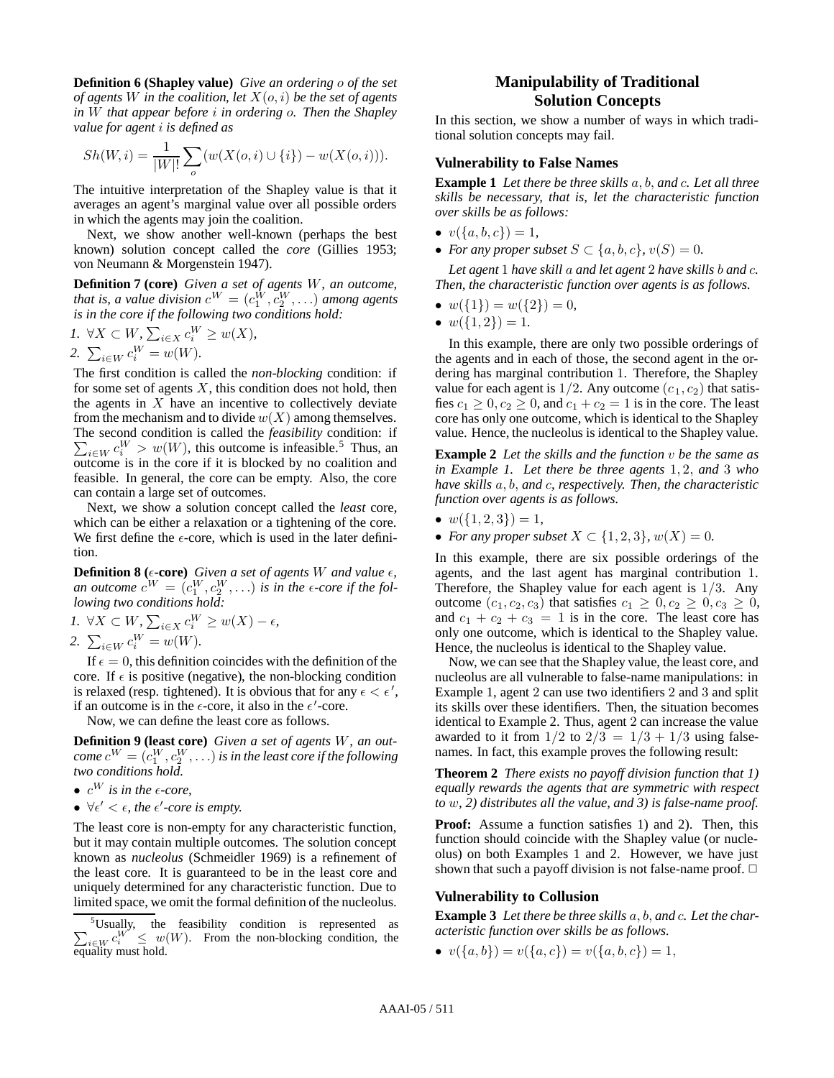**Definition 6 (Shapley value)** *Give an ordering* o *of the set of agents* W *in the coalition, let*  $X(o, i)$  *be the set of agents in* W *that appear before* i *in ordering* o*. Then the Shapley value for agent* i *is defined as*

$$
Sh(W, i) = \frac{1}{|W|!} \sum_{o} (w(X(o, i) \cup \{i\}) - w(X(o, i))).
$$

The intuitive interpretation of the Shapley value is that it averages an agent's marginal value over all possible orders in which the agents may join the coalition.

Next, we show another well-known (perhaps the best known) solution concept called the *core* (Gillies 1953; von Neumann & Morgenstein 1947).

**Definition 7 (core)** *Given a set of agents* W*, an outcome, that is, a value division*  $c^W = (c_1^W, c_2^W, \ldots)$  *among agents is in the core if the following two conditions hold:*

*I*. ∀*X* ⊂ *W*,  $\sum_{i \in X} c_i^W \geq w(X)$ , 2.  $\sum_{i \in W} c_i^W = w(W)$ .

The first condition is called the *non-blocking* condition: if for some set of agents  $X$ , this condition does not hold, then the agents in  $X$  have an incentive to collectively deviate from the mechanism and to divide  $w(X)$  among themselves. The second condition is called the *feasibility* condition: if  $\sum_{i \in W} c_i^W > w(W)$ , this outcome is infeasible.<sup>5</sup> Thus, an outcome is in the core if it is blocked by no coalition and feasible. In general, the core can be empty. Also, the core can contain a large set of outcomes.

Next, we show a solution concept called the *least* core, which can be either a relaxation or a tightening of the core. We first define the  $\epsilon$ -core, which is used in the later definition.

**Definition 8** ( $\epsilon$ -core) *Given a set of agents W and value*  $\epsilon$ *, an outcome*  $c^W = (c_1^W, c_2^W, \ldots)$  *is in the*  $\epsilon$ -core if the fol*lowing two conditions hold:*

1. 
$$
\forall X \subset W
$$
,  $\sum_{i \in X} c_i^W \ge w(X) - \epsilon$ ,  
2.  $\sum_{i \in W} c_i^W = w(W)$ .

If  $\epsilon = 0$ , this definition coincides with the definition of the core. If  $\epsilon$  is positive (negative), the non-blocking condition is relaxed (resp. tightened). It is obvious that for any  $\epsilon < \epsilon'$ , if an outcome is in the  $\epsilon$ -core, it also in the  $\epsilon'$ -core.

Now, we can define the least core as follows.

**Definition 9 (least core)** *Given a set of agents* W*, an out-* $\emph{come }~c^W=(c_1^W, c_2^W, \ldots)$  is in the least core if the following *two conditions hold.*

- $c^W$  *is in the*  $\epsilon$ *-core,*
- $\forall \epsilon' < \epsilon$ , the  $\epsilon'$ -core is empty.

The least core is non-empty for any characteristic function, but it may contain multiple outcomes. The solution concept known as *nucleolus* (Schmeidler 1969) is a refinement of the least core. It is guaranteed to be in the least core and uniquely determined for any characteristic function. Due to limited space, we omit the formal definition of the nucleolus.

## **Manipulability of Traditional Solution Concepts**

In this section, we show a number of ways in which traditional solution concepts may fail.

#### **Vulnerability to False Names**

**Example 1** *Let there be three skills* a, b, *and* c*. Let all three skills be necessary, that is, let the characteristic function over skills be as follows:*

- $v({a, b, c})=1$ ,
- *For any proper subset*  $S \subset \{a, b, c\}$ ,  $v(S) = 0$ .

*Let agent* 1 *have skill* a *and let agent* 2 *have skills* b *and* c*. Then, the characteristic function over agents is as follows.*

- $w({1}) = w({2}) = 0$
- $w({1,2})=1$ .

In this example, there are only two possible orderings of the agents and in each of those, the second agent in the ordering has marginal contribution 1. Therefore, the Shapley value for each agent is  $1/2$ . Any outcome  $(c_1, c_2)$  that satisfies  $c_1 \geq 0, c_2 \geq 0$ , and  $c_1 + c_2 = 1$  is in the core. The least core has only one outcome, which is identical to the Shapley value. Hence, the nucleolus is identical to the Shapley value.

**Example 2** *Let the skills and the function* v *be the same as in Example 1. Let there be three agents* 1, 2, *and* 3 *who have skills* a, b, *and* c*, respectively. Then, the characteristic function over agents is as follows.*

- $\bullet \ w(\{1,2,3\})=1,$
- *For any proper subset*  $X \subset \{1, 2, 3\}$ ,  $w(X) = 0$ .

In this example, there are six possible orderings of the agents, and the last agent has marginal contribution 1. Therefore, the Shapley value for each agent is  $1/3$ . Any outcome  $(c_1, c_2, c_3)$  that satisfies  $c_1 \geq 0, c_2 \geq 0, c_3 \geq 0$ , and  $c_1 + c_2 + c_3 = 1$  is in the core. The least core has only one outcome, which is identical to the Shapley value. Hence, the nucleolus is identical to the Shapley value.

Now, we can see that the Shapley value, the least core, and nucleolus are all vulnerable to false-name manipulations: in Example 1, agent 2 can use two identifiers 2 and 3 and split its skills over these identifiers. Then, the situation becomes identical to Example 2. Thus, agent 2 can increase the value awarded to it from  $1/2$  to  $2/3 = 1/3 + 1/3$  using falsenames. In fact, this example proves the following result:

**Theorem 2** *There exists no payoff division function that 1) equally rewards the agents that are symmetric with respect to* w*, 2) distributes all the value, and 3) is false-name proof.*

**Proof:** Assume a function satisfies 1) and 2). Then, this function should coincide with the Shapley value (or nucleolus) on both Examples 1 and 2. However, we have just shown that such a payoff division is not false-name proof.  $\Box$ 

#### **Vulnerability to Collusion**

**Example 3** *Let there be three skills* a, b, *and* c*. Let the characteristic function over skills be as follows.*

•  $v(\{a, b\}) = v(\{a, c\}) = v(\{a, b, c\}) = 1,$ 

<sup>&</sup>lt;sup>5</sup>Usually, the feasibility condition is represented as  $\sum_{i \in W} c_i^W \leq w(W)$ . From the non-blocking condition, the equality must hold.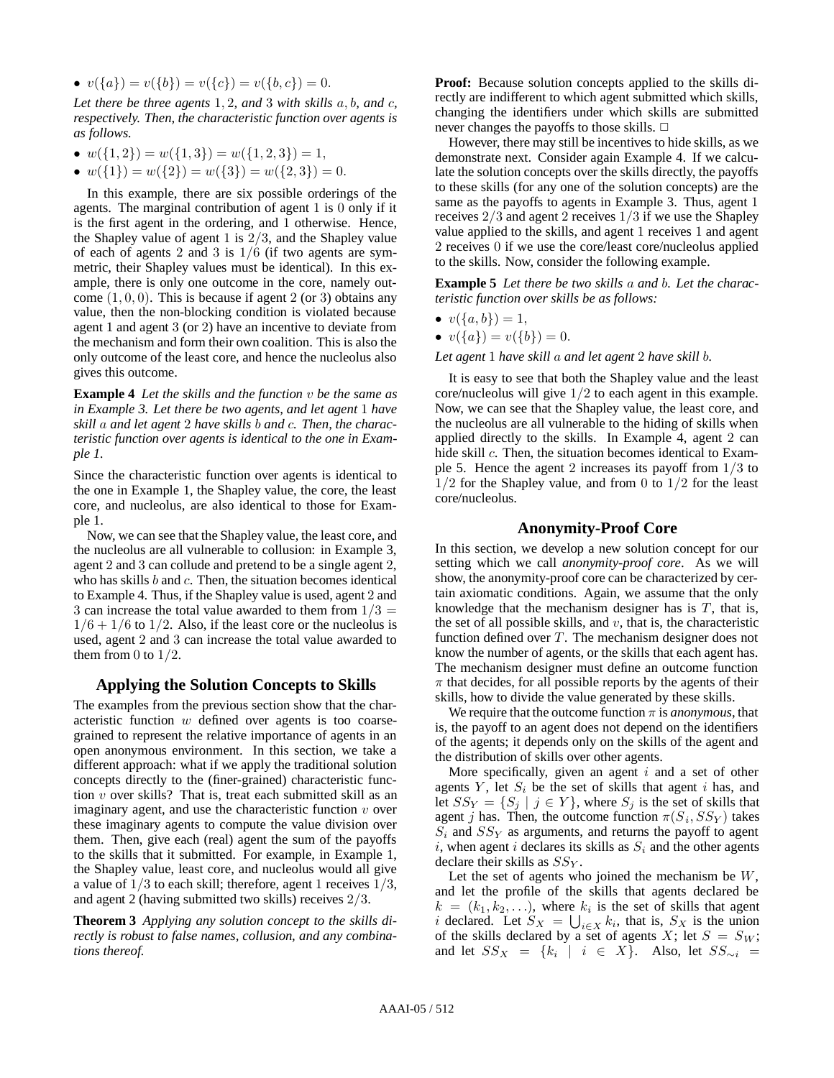•  $v({a}) = v({b}) = v({c}) = v({b}, {c}) = 0.$ 

*Let there be three agents* 1, 2*, and* 3 *with skills* a, b*, and* c*, respectively. Then, the characteristic function over agents is as follows.*

- $w({1, 2}) = w({1, 3}) = w({1, 2, 3}) = 1$ ,
- $w({1}) = w({2}) = w({3}) = w({2, 3}) = 0.$

In this example, there are six possible orderings of the agents. The marginal contribution of agent 1 is 0 only if it is the first agent in the ordering, and 1 otherwise. Hence, the Shapley value of agent 1 is 2/3, and the Shapley value of each of agents 2 and 3 is  $1/6$  (if two agents are symmetric, their Shapley values must be identical). In this example, there is only one outcome in the core, namely outcome  $(1, 0, 0)$ . This is because if agent 2 (or 3) obtains any value, then the non-blocking condition is violated because agent 1 and agent 3 (or 2) have an incentive to deviate from the mechanism and form their own coalition. This is also the only outcome of the least core, and hence the nucleolus also gives this outcome.

**Example 4** *Let the skills and the function* v *be the same as in Example 3. Let there be two agents, and let agent* 1 *have skill* a *and let agent* 2 *have skills* b *and* c*. Then, the characteristic function over agents is identical to the one in Example 1.*

Since the characteristic function over agents is identical to the one in Example 1, the Shapley value, the core, the least core, and nucleolus, are also identical to those for Example 1.

Now, we can see that the Shapley value, the least core, and the nucleolus are all vulnerable to collusion: in Example 3, agent 2 and 3 can collude and pretend to be a single agent 2, who has skills  $b$  and  $c$ . Then, the situation becomes identical to Example 4. Thus, if the Shapley value is used, agent 2 and 3 can increase the total value awarded to them from  $1/3 =$  $1/6 + 1/6$  to  $1/2$ . Also, if the least core or the nucleolus is used, agent 2 and 3 can increase the total value awarded to them from 0 to  $1/2$ .

## **Applying the Solution Concepts to Skills**

The examples from the previous section show that the characteristic function w defined over agents is too coarsegrained to represent the relative importance of agents in an open anonymous environment. In this section, we take a different approach: what if we apply the traditional solution concepts directly to the (finer-grained) characteristic function v over skills? That is, treat each submitted skill as an imaginary agent, and use the characteristic function  $v$  over these imaginary agents to compute the value division over them. Then, give each (real) agent the sum of the payoffs to the skills that it submitted. For example, in Example 1, the Shapley value, least core, and nucleolus would all give a value of  $1/3$  to each skill; therefore, agent 1 receives  $1/3$ , and agent 2 (having submitted two skills) receives 2/3.

**Theorem 3** *Applying any solution concept to the skills directly is robust to false names, collusion, and any combinations thereof.*

**Proof:** Because solution concepts applied to the skills directly are indifferent to which agent submitted which skills, changing the identifiers under which skills are submitted never changes the payoffs to those skills.  $\Box$ 

However, there may still be incentives to hide skills, as we demonstrate next. Consider again Example 4. If we calculate the solution concepts over the skills directly, the payoffs to these skills (for any one of the solution concepts) are the same as the payoffs to agents in Example 3. Thus, agent 1 receives 2/3 and agent 2 receives 1/3 if we use the Shapley value applied to the skills, and agent 1 receives 1 and agent 2 receives 0 if we use the core/least core/nucleolus applied to the skills. Now, consider the following example.

**Example 5** *Let there be two skills* a *and* b*. Let the characteristic function over skills be as follows:*

•  $v({a,b})=1,$ 

• 
$$
v({a}) = v({b}) = 0
$$

*Let agent* 1 *have skill* a *and let agent* 2 *have skill* b*.*

It is easy to see that both the Shapley value and the least core/nucleolus will give 1/2 to each agent in this example. Now, we can see that the Shapley value, the least core, and the nucleolus are all vulnerable to the hiding of skills when applied directly to the skills. In Example 4, agent 2 can hide skill c. Then, the situation becomes identical to Example 5. Hence the agent 2 increases its payoff from 1/3 to  $1/2$  for the Shapley value, and from 0 to  $1/2$  for the least core/nucleolus.

### **Anonymity-Proof Core**

In this section, we develop a new solution concept for our setting which we call *anonymity-proof core*. As we will show, the anonymity-proof core can be characterized by certain axiomatic conditions. Again, we assume that the only knowledge that the mechanism designer has is  $T$ , that is, the set of all possible skills, and  $v$ , that is, the characteristic function defined over  $T$ . The mechanism designer does not know the number of agents, or the skills that each agent has. The mechanism designer must define an outcome function  $\pi$  that decides, for all possible reports by the agents of their skills, how to divide the value generated by these skills.

We require that the outcome function  $\pi$  is *anonymous*, that is, the payoff to an agent does not depend on the identifiers of the agents; it depends only on the skills of the agent and the distribution of skills over other agents.

More specifically, given an agent  $i$  and a set of other agents  $Y$ , let  $S_i$  be the set of skills that agent  $i$  has, and let  $SS_Y = \{S_j \mid j \in Y\}$ , where  $S_j$  is the set of skills that agent *j* has. Then, the outcome function  $\pi(S_i, SS_Y)$  takes  $S_i$  and  $SS_Y$  as arguments, and returns the payoff to agent  $i$ , when agent  $i$  declares its skills as  $S_i$  and the other agents declare their skills as SS*<sup>Y</sup>* .

Let the set of agents who joined the mechanism be  $W$ , and let the profile of the skills that agents declared be  $k = (k_1, k_2, \ldots)$ , where  $k_i$  is the set of skills that agent *i* declared. Let  $S_X = \bigcup_{i \in X} k_i$ , that is,  $S_X$  is the union of the skills declared by a set of agents  $X$ ; let  $S = S_W$ ; and let  $SS_X = \{k_i \mid i \in X\}$ . Also, let  $SS_{\sim i}$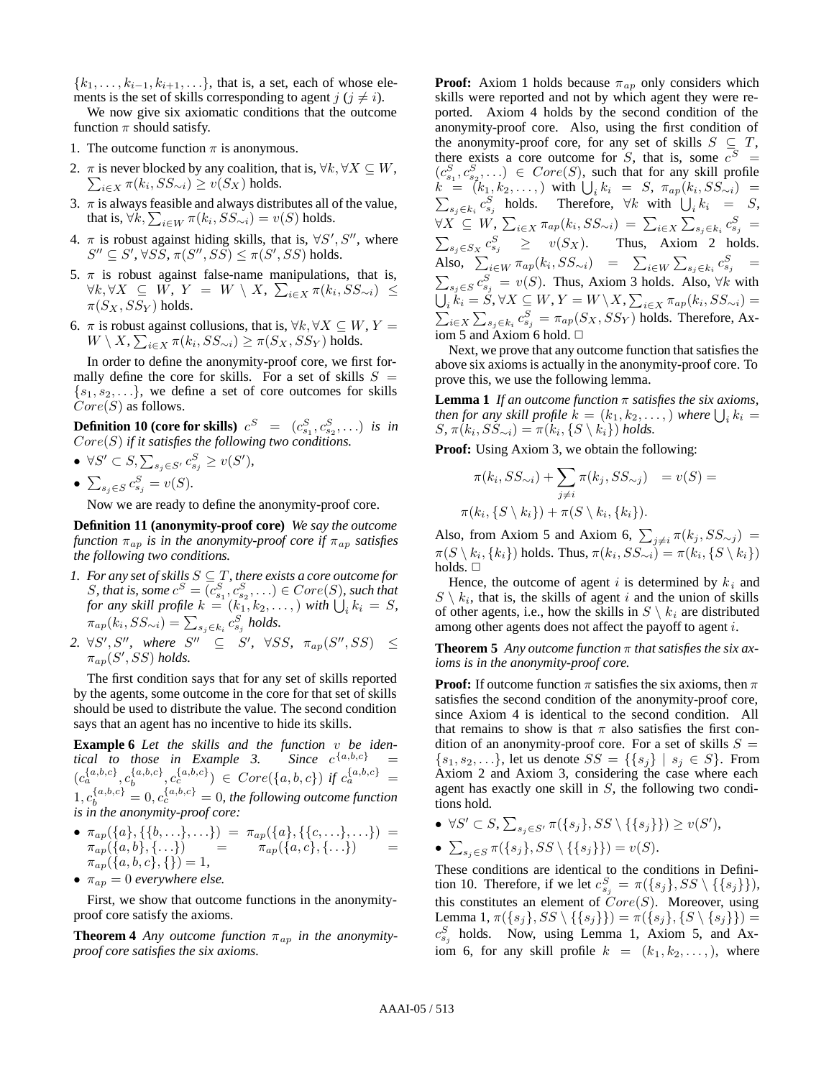${k_1,\ldots,k_{i-1},k_{i+1},\ldots}$ , that is, a set, each of whose elements is the set of skills corresponding to agent  $j$  ( $j \neq i$ ).

We now give six axiomatic conditions that the outcome function  $\pi$  should satisfy.

- 1. The outcome function  $\pi$  is anonymous.
- 2.  $\pi$  is never blocked by any coalition, that is,  $\forall k, \forall X \subseteq W$ ,  $\sum_{i \in X} \pi(k_i, SS_{\sim i}) \ge v(S_X)$  holds.
- 3.  $\pi$  is always feasible and always distributes all of the value, that is,  $\forall k, \sum_{i \in W} \pi(k_i, SS_{\sim i}) = v(S)$  holds.
- 4.  $\pi$  is robust against hiding skills, that is,  $\forall S', S''$ , where  $S'' \subseteq S', \forall S \overline{S}, \pi(S'', S\overline{S}) \leq \pi(S', SS) \text{ holds.}$
- 5.  $\pi$  is robust against false-name manipulations, that is,  $\forall k, \forall X$  ⊆ *W*, *Y* = *W* \ *X*,  $\sum_{i \in X}$  π( $k_i$ ,  $SS_{\sim i}$ ) ≤  $\pi(S_X, SS_Y)$  holds.
- 6.  $\pi$  is robust against collusions, that is,  $\forall k, \forall X \subseteq W, Y =$  $W \setminus X$ ,  $\sum_{i \in X} \pi(k_i,SS_{\sim i}) \geq \pi(S_X,SS_Y)$  holds.

In order to define the anonymity-proof core, we first formally define the core for skills. For a set of skills  $S =$  $\{s_1, s_2, \ldots\}$ , we define a set of core outcomes for skills  $Core(S)$  as follows.

**Definition 10 (core for skills)**  $c^{S}$  =  $(c^{S}_{s_1}, c^{S}_{s_2},...)$  *is in* Core(S) *if it satisfies the following two conditions.*

 $\bullet$  ∀S' ⊂ S,  $\sum_{s_j \in S'} c_{s_j}^S \ge v(S')$ ,

• 
$$
\sum_{s_j \in S} c_{s_j}^S = v(S).
$$

Now we are ready to define the anonymity-proof core.

**Definition 11 (anonymity-proof core)** *We say the outcome function* π*ap is in the anonymity-proof core if* π*ap satisfies the following two conditions.*

- *1. For any set of skills* S ⊆ T *, there exists a core outcome for S*, that is, some  $c^S = (c_{s_1}^S, c_{s_2}^S, \ldots) \in Core(S)$ , such that *for any skill profile*  $k = (k_1, k_2, \ldots,)$  *with*  $\bigcup_i k_i = S$ *,*  $\pi_{ap}(k_i, SS_{\sim i}) = \sum_{s_j \in k_i} c_{s_j}^S$  holds.
- 2.  $\forall S', S'', \text{ where } S'' \subseteq S', \forall SS, \pi_{ap}(S'', SS) \leq$  $\pi_{ap}(S',SS)$  *holds.*

The first condition says that for any set of skills reported by the agents, some outcome in the core for that set of skills should be used to distribute the value. The second condition says that an agent has no incentive to hide its skills.

**Example 6** *Let the skills and the function v be identical to those in Example 3. Since*  $c^{\{a,b,c\}}$  = *tical to those in Example 3.*  $(c_a^{\{a,b,c\}}, c_b^{\{a,b,c\}}, c_c^{\{a,b,c\}}) \in Core(\{a,b,c\}) \text{ if } c_a^{\{a,b,c\}} =$  $1, c_b^{\{a,b,c\}} = 0, c_c^{\{a,b,c\}} = 0$ , the following outcome function *is in the anonymity-proof core:*

- $\bullet$   $\pi_{ap}(\{a\},\{\{b,\ldots\},\ldots\}) = \pi_{ap}(\{a\},\{\{c,\ldots\},\ldots\}) =$  $\pi_{ap}(\{a,b\},\{\ldots\})$  =  $\pi_{ap}(\{a,c\},\{\ldots\})$  =  $\pi_{ap}(\{a,b,c\},\{\})=1,$
- $\pi_{ap} = 0$  *everywhere else.*

First, we show that outcome functions in the anonymityproof core satisfy the axioms.

**Theorem 4** *Any outcome function*  $\pi_{ap}$  *in the anonymityproof core satisfies the six axioms.*

**Proof:** Axiom 1 holds because  $\pi_{ap}$  only considers which skills were reported and not by which agent they were reported. Axiom 4 holds by the second condition of the anonymity-proof core. Also, using the first condition of the anonymity-proof core, for any set of skills  $S \subseteq T$ , there exists a core outcome for *S*, that is, some  $c^S =$  $(c_{s_1}^S, c_{s_2}^S, \ldots) \in Core(S)$ , such that for any skill profile  $k = (k_1, k_2, \ldots,)$  with  $\bigcup_i k_i = S, \pi_{ap}(k_i, SS_{\sim i}) =$  $\sum_{s_j \in k_i} c_{s_j}^S$  holds. Therefore,  $\forall k$  with  $\bigcup_i k_i = S$ ,  $\forall X \subseteq W, \sum_{i \in X} \pi_{ap}(k_i, SS_{\sim i}) = \sum_{i \in X} \sum_{s_j \in k_i} c_{s_j}^S =$  $\sum_{s_j \in S_X} c_{s_j}^S$  ≥  $v(S_X)$ . Thus, Axiom 2 holds. Also,  $\sum_{i \in W} \pi_{ap}(k_i, SS_{\sim i}) = \sum_{i \in W} \sum_{s_j \in k_i} c_{s_j}^S =$  $\sum_{s_j \in S} c_{s_j}^S = v(S)$ . Thus, Axiom 3 holds. Also, ∀k with  $\bigcup_i k_i = S, \forall X \subseteq W, Y = W \setminus X, \sum_{i \in X} \pi_{ap}(k_i, SS_{\sim i}) =$  $\sum_{i \in X} \sum_{s_j \in k_i} c_{s_j}^S = \pi_{ap}(S_X, SS_Y)$  holds. Therefore, Axiom 5 and Axiom 6 hold.  $\Box$ 

Next, we prove that any outcome function that satisfies the above six axioms is actually in the anonymity-proof core. To prove this, we use the following lemma.

**Lemma 1** *If an outcome function* π *satisfies the six axioms, then for any skill profile*  $k = (k_1, k_2, \ldots)$  *where*  $\bigcup_i k_i =$  $S, \pi(k_i, SS_{\sim i}) = \pi(k_i, \{S \setminus k_i\})$  holds.

**Proof:** Using Axiom 3, we obtain the following:

$$
\pi(k_i, SS_{\sim i}) + \sum_{j \neq i} \pi(k_j, SS_{\sim j}) = v(S) =
$$
  

$$
\pi(k_i, \{S \setminus k_i\}) + \pi(S \setminus k_i, \{k_i\}).
$$

Also, from Axiom 5 and Axiom 6,  $\sum_{j\neq i} \pi(k_j,SS_{\sim j})$  =  $\pi(S \setminus k_i, \{k_i\})$  holds. Thus,  $\pi(k_i,SS_{\sim i}) = \pi(k_i,\{S \setminus k_i\})$ holds.  $\square$ 

Hence, the outcome of agent  $i$  is determined by  $k_i$  and  $S \setminus k_i$ , that is, the skills of agent i and the union of skills of other agents, i.e., how the skills in  $S \setminus k_i$  are distributed among other agents does not affect the payoff to agent i.

**Theorem 5** *Any outcome function* π *that satisfies the six axioms is in the anonymity-proof core.*

**Proof:** If outcome function  $\pi$  satisfies the six axioms, then  $\pi$ satisfies the second condition of the anonymity-proof core, since Axiom 4 is identical to the second condition. All that remains to show is that  $\pi$  also satisfies the first condition of an anonymity-proof core. For a set of skills  $S =$  $\{s_1, s_2,...\}$ , let us denote  $SS = \{\{s_j\} \mid s_j \in S\}$ . From Axiom 2 and Axiom 3, considering the case where each agent has exactly one skill in  $S$ , the following two conditions hold.

 $\bullet$  ∀S' ⊂ S,  $\sum_{s_j \in S'} \pi({s_j},SS \setminus {\{s_j\}}) \geq v(S'),$ 

$$
\bullet \sum_{s_j \in S} \pi(\{s_j\}, SS \setminus \{\{s_j\}\}) = v(S).
$$

These conditions are identical to the conditions in Definition 10. Therefore, if we let  $c_{s_j}^S = \pi({s_j},SS \setminus {\{s_j\}})$ , this constitutes an element of  $Core(S)$ . Moreover, using Lemma 1,  $\pi({s_j}, SS \setminus {\{s_j\}}) = \pi({s_j}, {S \setminus {s_j\}})$  $c_{s_j}^S$  holds. Now, using Lemma 1, Axiom 5, and Axiom 6, for any skill profile  $k = (k_1, k_2, \ldots)$ , where